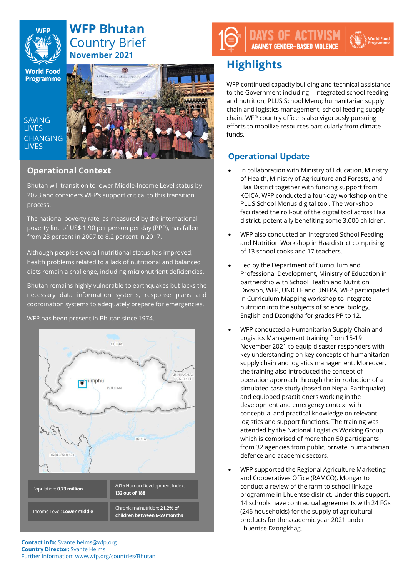

# **WFP Bhutan** Country Brief **November 2021**

**World Food** Programme

**SAVING LIVES CHANGING LIVES** 



## **Operational Context**

Bhutan will transition to lower Middle-Income Level status by 2023 and considers WFP's support critical to this transition process.

The national poverty rate, as measured by the international poverty line of US\$ 1.90 per person per day (PPP), has fallen from 23 percent in 2007 to 8.2 percent in 2017.

Although people's overall nutritional status has improved, health problems related to a lack of nutritional and balanced diets remain a challenge, including micronutrient deficiencies.

Bhutan remains highly vulnerable to earthquakes but lacks the necessary data information systems, response plans and coordination systems to adequately prepare for emergencies.

CHINA ARLINACHA himphu BHUTAN **INDIA** BANGLADESH 2015 Human Development Index: Population: **0.73 million 132 out of 188** Chronic malnutrition: **21.2% of**  Income Level: **Lower middle children between 6-59 months**

WFP has been present in Bhutan since 1974.

## S OF ACTIVIST **AGAINST GENDER-BASED VIOLENCE**

# **Highlights**

WFP continued capacity building and technical assistance to the Government including – integrated school feeding and nutrition; PLUS School Menu; humanitarian supply chain and logistics management; school feeding supply chain. WFP country office is also vigorously pursuing efforts to mobilize resources particularly from climate funds.

## **Operational Update**

- In collaboration with Ministry of Education, Ministry of Health, Ministry of Agriculture and Forests, and Haa District together with funding support from KOICA, WFP conducted a four-day workshop on the PLUS School Menus digital tool. The workshop facilitated the roll-out of the digital tool across Haa district, potentially benefiting some 3,000 children.
- WFP also conducted an Integrated School Feeding and Nutrition Workshop in Haa district comprising of 13 school cooks and 17 teachers.
- Led by the Department of Curriculum and Professional Development, Ministry of Education in partnership with School Health and Nutrition Division, WFP, UNICEF and UNFPA, WFP participated in Curriculum Mapping workshop to integrate nutrition into the subjects of science, biology, English and Dzongkha for grades PP to 12.
- WFP conducted a Humanitarian Supply Chain and Logistics Management training from 15-19 November 2021 to equip disaster responders with key understanding on key concepts of humanitarian supply chain and logistics management. Moreover, the training also introduced the concept of operation approach through the introduction of a simulated case study (based on Nepal Earthquake) and equipped practitioners working in the development and emergency context with conceptual and practical knowledge on relevant logistics and support functions. The training was attended by the National Logistics Working Group which is comprised of more than 50 participants from 32 agencies from public, private, humanitarian, defence and academic sectors.
- WFP supported the Regional Agriculture Marketing and Cooperatives Office (RAMCO), Mongar to conduct a review of the farm to school linkage programme in Lhuentse district. Under this support, 14 schools have contractual agreements with 24 FGs (246 households) for the supply of agricultural products for the academic year 2021 under Lhuentse Dzongkhag.

**Contact info:** Svante.helms@wfp.org **Country Director:** Svante Helms Further information: www.wfp.org/countries/Bhutan